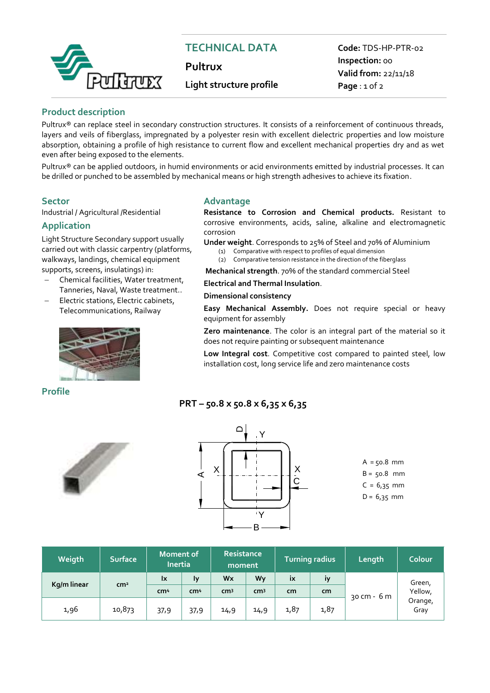

# **TECHNICAL DATA**

**Pultrux**

## **Light structure profile**

**Code:** TDS-HP-PTR-02 **Inspection:** 00 **Valid from:** 22/11/18 **Page** : 1 of 2

## **Product description**

Pultrux® can replace steel in secondary construction structures. It consists of a reinforcement of continuous threads, layers and veils of fiberglass, impregnated by a polyester resin with excellent dielectric properties and low moisture absorption, obtaining a profile of high resistance to current flow and excellent mechanical properties dry and as wet even after being exposed to the elements.

Pultrux® can be applied outdoors, in humid environments or acid environments emitted by industrial processes. It can be drilled or punched to be assembled by mechanical means or high strength adhesives to achieve its fixation.

Industrial / Agricultural /Residential

## **Application**

Light Structure Secondary support usually carried out with classic carpentry (platforms, walkways, landings, chemical equipment supports, screens, insulatings) in:

- Chemical facilities, Water treatment, Tanneries, Naval, Waste treatment..
- Electric stations, Electric cabinets, Telecommunications, Railway



## **Profile**

## **Sector Advantage**

**Resistance to Corrosion and Chemical products.** Resistant to corrosive environments, acids, saline, alkaline and electromagnetic corrosion

**Under weight**. Corresponds to 25% of Steel and 70% of Aluminium (1) Comparative with respect to profiles of equal dimension

- (2) Comparative tension resistance in the direction of the fiberglass
- **Mechanical strength**. 70% of the standard commercial Steel

## **Electrical and Thermal Insulation**.

### **Dimensional consistency**

**Easy Mechanical Assembly.** Does not require special or heavy equipment for assembly

**Zero maintenance**. The color is an integral part of the material so it does not require painting or subsequent maintenance

**Low Integral cost**. Competitive cost compared to painted steel, low installation cost, long service life and zero maintenance costs

## **PRT – 50.8 x 50.8 x 6,35 x 6,35**





 $A = 50.8$  mm  $B = 50.8$  mm  $C = 6,35$  mm  $D = 6,35$  mm

| Weigth      | <b>Surface</b>  | Moment of<br><b>Inertia</b> |                 | Resistance<br>moment |                 | <b>Turning radius</b> |           | Length      | Colour                               |
|-------------|-----------------|-----------------------------|-----------------|----------------------|-----------------|-----------------------|-----------|-------------|--------------------------------------|
| Kg/m linear | cm <sup>2</sup> | lx                          | l۷              | Wx                   | Wv              | ix                    | <b>IV</b> |             | Green,<br>Yellow,<br>Orange,<br>Gray |
|             |                 | cm <sup>4</sup>             | cm <sup>4</sup> | cm <sup>3</sup>      | cm <sup>3</sup> | cm                    | cm        | 30 cm - 6 m |                                      |
| 1,96        | 10,873          | 37,9                        | 37,9            | 14,9                 | 14,9            | 1,87                  | 1,87      |             |                                      |